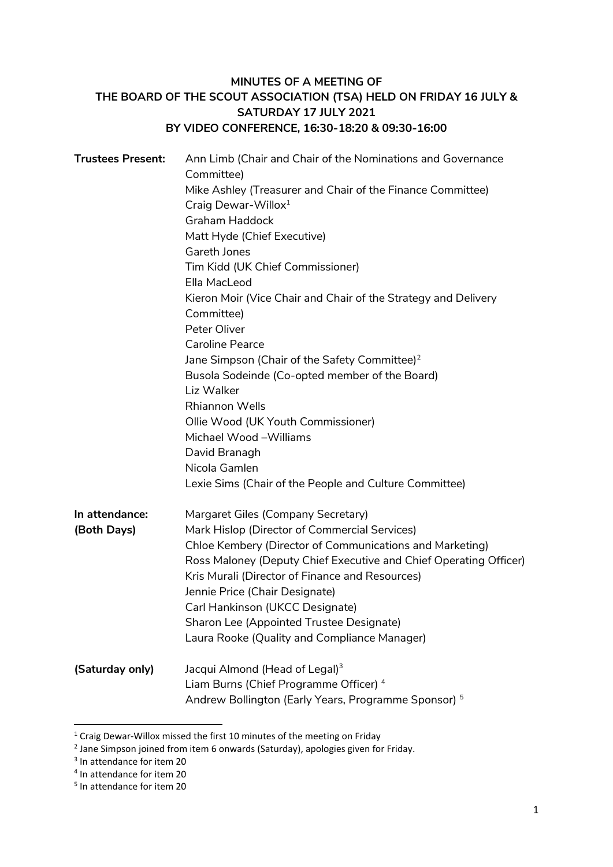# **MINUTES OF A MEETING OF THE BOARD OF THE SCOUT ASSOCIATION (TSA) HELD ON FRIDAY 16 JULY & SATURDAY 17 JULY 2021 BY VIDEO CONFERENCE, 16:30-18:20 & 09:30-16:00**

| <b>Trustees Present:</b> | Ann Limb (Chair and Chair of the Nominations and Governance<br>Committee) |
|--------------------------|---------------------------------------------------------------------------|
|                          | Mike Ashley (Treasurer and Chair of the Finance Committee)                |
|                          | Craig Dewar-Willox <sup>1</sup>                                           |
|                          | <b>Graham Haddock</b>                                                     |
|                          | Matt Hyde (Chief Executive)                                               |
|                          | Gareth Jones                                                              |
|                          | Tim Kidd (UK Chief Commissioner)                                          |
|                          | Ella MacLeod                                                              |
|                          | Kieron Moir (Vice Chair and Chair of the Strategy and Delivery            |
|                          | Committee)                                                                |
|                          | Peter Oliver                                                              |
|                          | <b>Caroline Pearce</b>                                                    |
|                          | Jane Simpson (Chair of the Safety Committee) <sup>2</sup>                 |
|                          | Busola Sodeinde (Co-opted member of the Board)<br>Liz Walker              |
|                          | <b>Rhiannon Wells</b>                                                     |
|                          | Ollie Wood (UK Youth Commissioner)                                        |
|                          | Michael Wood-Williams                                                     |
|                          | David Branagh                                                             |
|                          | Nicola Gamlen                                                             |
|                          | Lexie Sims (Chair of the People and Culture Committee)                    |
|                          |                                                                           |
| In attendance:           | Margaret Giles (Company Secretary)                                        |
| (Both Days)              | Mark Hislop (Director of Commercial Services)                             |
|                          | Chloe Kembery (Director of Communications and Marketing)                  |
|                          | Ross Maloney (Deputy Chief Executive and Chief Operating Officer)         |
|                          | Kris Murali (Director of Finance and Resources)                           |
|                          | Jennie Price (Chair Designate)                                            |
|                          | Carl Hankinson (UKCC Designate)                                           |
|                          | Sharon Lee (Appointed Trustee Designate)                                  |
|                          | Laura Rooke (Quality and Compliance Manager)                              |
| (Saturday only)          | Jacqui Almond (Head of Legal) <sup>3</sup>                                |
|                          | Liam Burns (Chief Programme Officer) <sup>4</sup>                         |
|                          | Andrew Bollington (Early Years, Programme Sponsor) <sup>5</sup>           |
|                          |                                                                           |

<sup>&</sup>lt;sup>1</sup> Craig Dewar-Willox missed the first 10 minutes of the meeting on Friday

 $\overline{\phantom{a}}$ 

<sup>&</sup>lt;sup>2</sup> Jane Simpson joined from item 6 onwards (Saturday), apologies given for Friday.

<sup>&</sup>lt;sup>3</sup> In attendance for item 20

<sup>4</sup> In attendance for item 20

<sup>5</sup> In attendance for item 20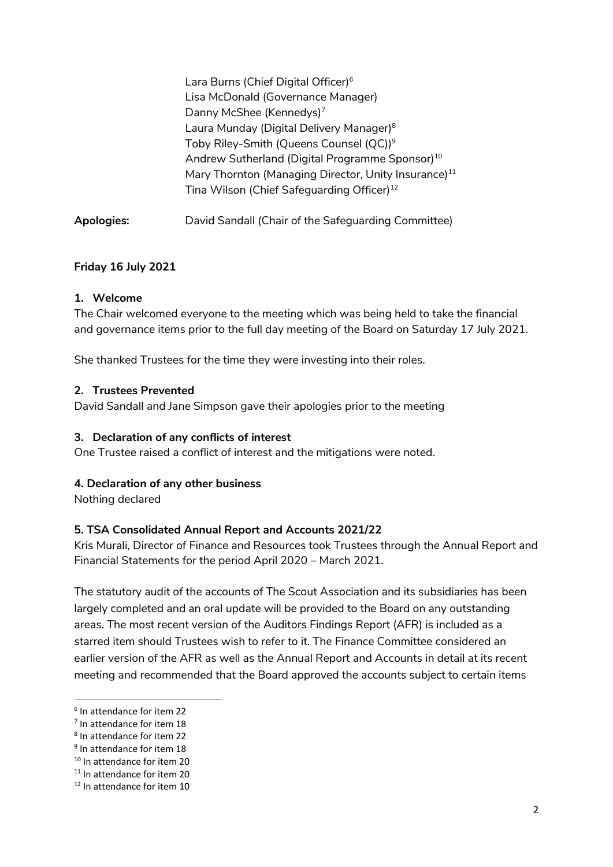|            | Lara Burns (Chief Digital Officer) <sup>6</sup>                  |
|------------|------------------------------------------------------------------|
|            | Lisa McDonald (Governance Manager)                               |
|            | Danny McShee (Kennedys) <sup>7</sup>                             |
|            | Laura Munday (Digital Delivery Manager) <sup>8</sup>             |
|            | Toby Riley-Smith (Queens Counsel (QC)) <sup>9</sup>              |
|            | Andrew Sutherland (Digital Programme Sponsor) <sup>10</sup>      |
|            | Mary Thornton (Managing Director, Unity Insurance) <sup>11</sup> |
|            | Tina Wilson (Chief Safeguarding Officer) <sup>12</sup>           |
| Apologies: | David Sandall (Chair of the Safeguarding Committee)              |

#### **Friday 16 July 2021**

#### **1. Welcome**

The Chair welcomed everyone to the meeting which was being held to take the financial and governance items prior to the full day meeting of the Board on Saturday 17 July 2021.

She thanked Trustees for the time they were investing into their roles.

#### **2. Trustees Prevented**

David Sandall and Jane Simpson gave their apologies prior to the meeting

#### **3. Declaration of any conflicts of interest**

One Trustee raised a conflict of interest and the mitigations were noted.

#### **4. Declaration of any other business**

Nothing declared

#### **5. TSA Consolidated Annual Report and Accounts 2021/22**

Kris Murali, Director of Finance and Resources took Trustees through the Annual Report and Financial Statements for the period April 2020 – March 2021.

The statutory audit of the accounts of The Scout Association and its subsidiaries has been largely completed and an oral update will be provided to the Board on any outstanding areas. The most recent version of the Auditors Findings Report (AFR) is included as a starred item should Trustees wish to refer to it. The Finance Committee considered an earlier version of the AFR as well as the Annual Report and Accounts in detail at its recent meeting and recommended that the Board approved the accounts subject to certain items

 $\overline{\phantom{a}}$ 

<sup>6</sup> In attendance for item 22

<sup>&</sup>lt;sup>7</sup> In attendance for item 18

<sup>8</sup> In attendance for item 22

<sup>&</sup>lt;sup>9</sup> In attendance for item 18

<sup>10</sup> In attendance for item 20

<sup>&</sup>lt;sup>11</sup> In attendance for item 20

<sup>12</sup> In attendance for item 10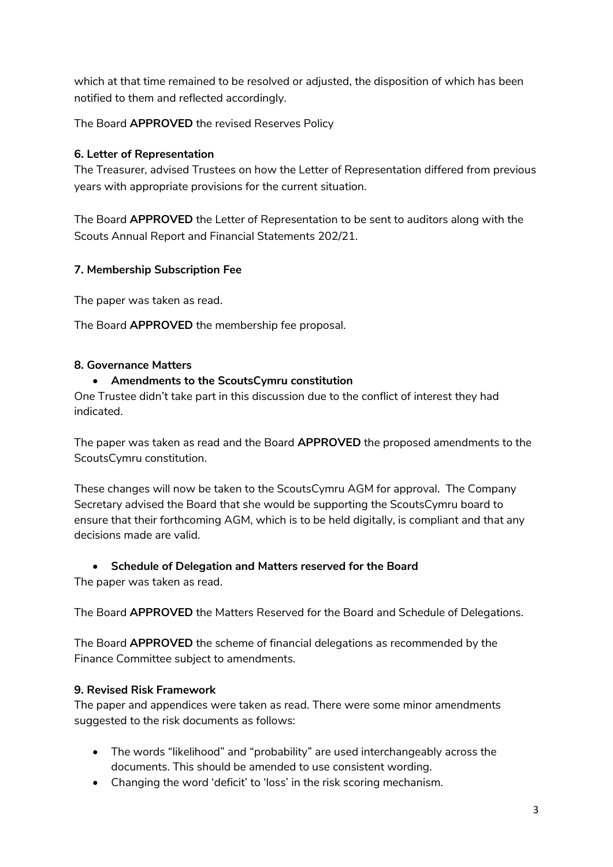which at that time remained to be resolved or adjusted, the disposition of which has been notified to them and reflected accordingly.

The Board **APPROVED** the revised Reserves Policy

### **6. Letter of Representation**

The Treasurer, advised Trustees on how the Letter of Representation differed from previous years with appropriate provisions for the current situation.

The Board **APPROVED** the Letter of Representation to be sent to auditors along with the Scouts Annual Report and Financial Statements 202/21.

### **7. Membership Subscription Fee**

The paper was taken as read.

The Board **APPROVED** the membership fee proposal.

#### **8. Governance Matters**

#### **Amendments to the ScoutsCymru constitution**

One Trustee didn't take part in this discussion due to the conflict of interest they had indicated.

The paper was taken as read and the Board **APPROVED** the proposed amendments to the ScoutsCymru constitution.

These changes will now be taken to the ScoutsCymru AGM for approval. The Company Secretary advised the Board that she would be supporting the ScoutsCymru board to ensure that their forthcoming AGM, which is to be held digitally, is compliant and that any decisions made are valid.

#### **Schedule of Delegation and Matters reserved for the Board**

The paper was taken as read.

The Board **APPROVED** the Matters Reserved for the Board and Schedule of Delegations.

The Board **APPROVED** the scheme of financial delegations as recommended by the Finance Committee subject to amendments.

#### **9. Revised Risk Framework**

The paper and appendices were taken as read. There were some minor amendments suggested to the risk documents as follows:

- The words "likelihood" and "probability" are used interchangeably across the documents. This should be amended to use consistent wording.
- Changing the word 'deficit' to 'loss' in the risk scoring mechanism.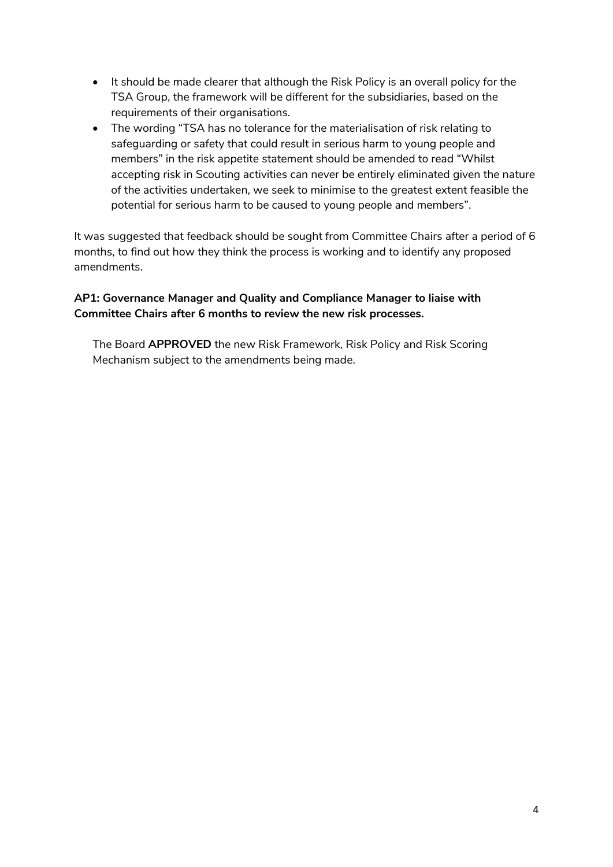- It should be made clearer that although the Risk Policy is an overall policy for the TSA Group, the framework will be different for the subsidiaries, based on the requirements of their organisations.
- The wording "TSA has no tolerance for the materialisation of risk relating to safeguarding or safety that could result in serious harm to young people and members" in the risk appetite statement should be amended to read "Whilst accepting risk in Scouting activities can never be entirely eliminated given the nature of the activities undertaken, we seek to minimise to the greatest extent feasible the potential for serious harm to be caused to young people and members".

It was suggested that feedback should be sought from Committee Chairs after a period of 6 months, to find out how they think the process is working and to identify any proposed amendments.

# **AP1: Governance Manager and Quality and Compliance Manager to liaise with Committee Chairs after 6 months to review the new risk processes.**

The Board **APPROVED** the new Risk Framework, Risk Policy and Risk Scoring Mechanism subject to the amendments being made.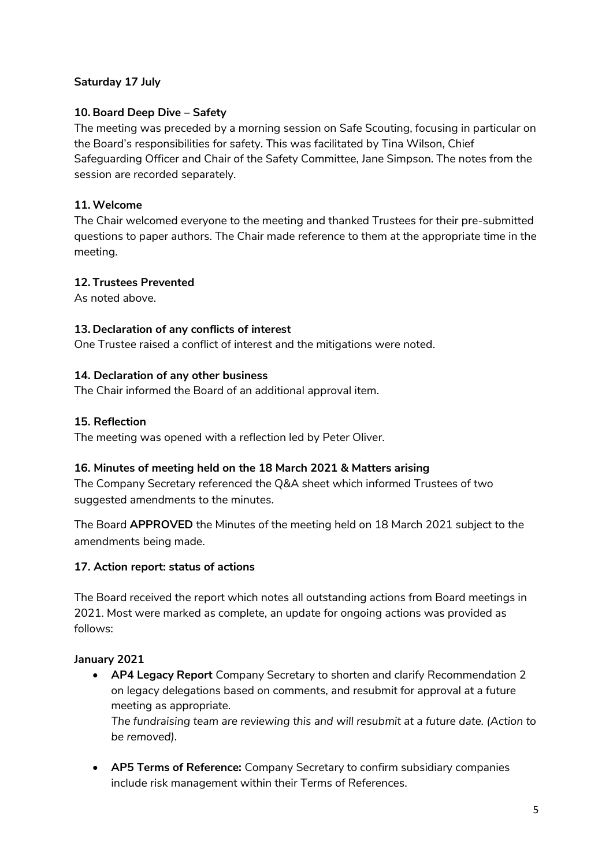### **Saturday 17 July**

### **10. Board Deep Dive – Safety**

The meeting was preceded by a morning session on Safe Scouting, focusing in particular on the Board's responsibilities for safety. This was facilitated by Tina Wilson, Chief Safeguarding Officer and Chair of the Safety Committee, Jane Simpson. The notes from the session are recorded separately.

### **11. Welcome**

The Chair welcomed everyone to the meeting and thanked Trustees for their pre-submitted questions to paper authors. The Chair made reference to them at the appropriate time in the meeting.

### **12. Trustees Prevented**

As noted above.

### **13. Declaration of any conflicts of interest**

One Trustee raised a conflict of interest and the mitigations were noted.

### **14. Declaration of any other business**

The Chair informed the Board of an additional approval item.

### **15. Reflection**

The meeting was opened with a reflection led by Peter Oliver.

### **16. Minutes of meeting held on the 18 March 2021 & Matters arising**

The Company Secretary referenced the Q&A sheet which informed Trustees of two suggested amendments to the minutes.

The Board **APPROVED** the Minutes of the meeting held on 18 March 2021 subject to the amendments being made.

### **17. Action report: status of actions**

The Board received the report which notes all outstanding actions from Board meetings in 2021. Most were marked as complete, an update for ongoing actions was provided as follows:

### **January 2021**

 **AP4 Legacy Report** Company Secretary to shorten and clarify Recommendation 2 on legacy delegations based on comments, and resubmit for approval at a future meeting as appropriate.

*The fundraising team are reviewing this and will resubmit at a future date. (Action to be removed).*

 **AP5 Terms of Reference:** Company Secretary to confirm subsidiary companies include risk management within their Terms of References.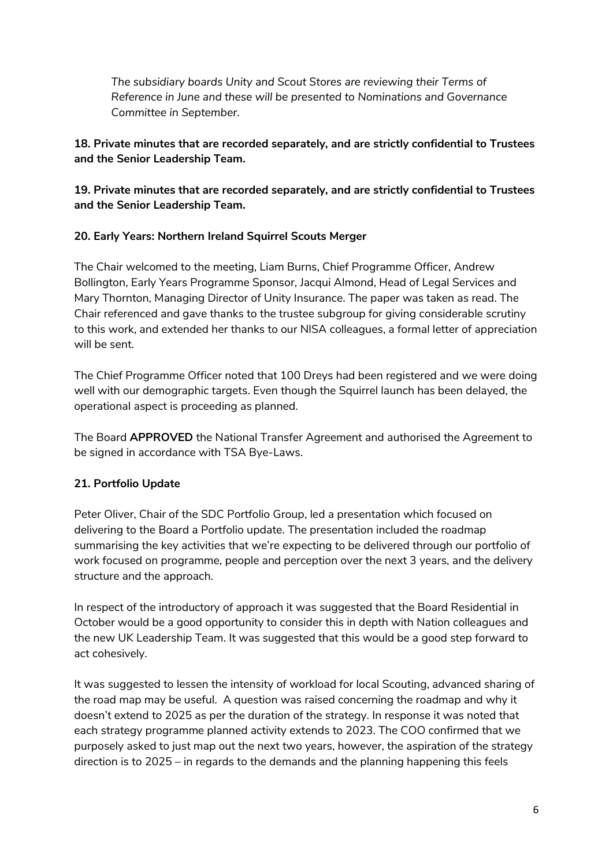*The subsidiary boards Unity and Scout Stores are reviewing their Terms of Reference in June and these will be presented to Nominations and Governance Committee in September.*

# **18. Private minutes that are recorded separately, and are strictly confidential to Trustees and the Senior Leadership Team.**

**19. Private minutes that are recorded separately, and are strictly confidential to Trustees and the Senior Leadership Team.** 

# **20. Early Years: Northern Ireland Squirrel Scouts Merger**

The Chair welcomed to the meeting, Liam Burns, Chief Programme Officer, Andrew Bollington, Early Years Programme Sponsor, Jacqui Almond, Head of Legal Services and Mary Thornton, Managing Director of Unity Insurance. The paper was taken as read. The Chair referenced and gave thanks to the trustee subgroup for giving considerable scrutiny to this work, and extended her thanks to our NISA colleagues, a formal letter of appreciation will be sent.

The Chief Programme Officer noted that 100 Dreys had been registered and we were doing well with our demographic targets. Even though the Squirrel launch has been delayed, the operational aspect is proceeding as planned.

The Board **APPROVED** the National Transfer Agreement and authorised the Agreement to be signed in accordance with TSA Bye-Laws.

# **21. Portfolio Update**

Peter Oliver, Chair of the SDC Portfolio Group, led a presentation which focused on delivering to the Board a Portfolio update. The presentation included the roadmap summarising the key activities that we're expecting to be delivered through our portfolio of work focused on programme, people and perception over the next 3 years, and the delivery structure and the approach.

In respect of the introductory of approach it was suggested that the Board Residential in October would be a good opportunity to consider this in depth with Nation colleagues and the new UK Leadership Team. It was suggested that this would be a good step forward to act cohesively.

It was suggested to lessen the intensity of workload for local Scouting, advanced sharing of the road map may be useful. A question was raised concerning the roadmap and why it doesn't extend to 2025 as per the duration of the strategy. In response it was noted that each strategy programme planned activity extends to 2023. The COO confirmed that we purposely asked to just map out the next two years, however, the aspiration of the strategy direction is to 2025 – in regards to the demands and the planning happening this feels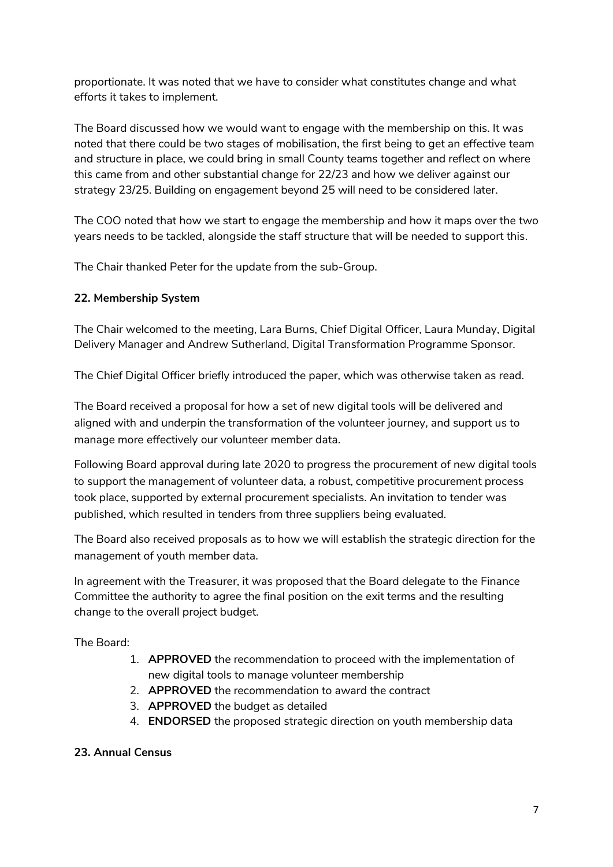proportionate. It was noted that we have to consider what constitutes change and what efforts it takes to implement.

The Board discussed how we would want to engage with the membership on this. It was noted that there could be two stages of mobilisation, the first being to get an effective team and structure in place, we could bring in small County teams together and reflect on where this came from and other substantial change for 22/23 and how we deliver against our strategy 23/25. Building on engagement beyond 25 will need to be considered later.

The COO noted that how we start to engage the membership and how it maps over the two years needs to be tackled, alongside the staff structure that will be needed to support this.

The Chair thanked Peter for the update from the sub-Group.

### **22. Membership System**

The Chair welcomed to the meeting, Lara Burns, Chief Digital Officer, Laura Munday, Digital Delivery Manager and Andrew Sutherland, Digital Transformation Programme Sponsor.

The Chief Digital Officer briefly introduced the paper, which was otherwise taken as read.

The Board received a proposal for how a set of new digital tools will be delivered and aligned with and underpin the transformation of the volunteer journey, and support us to manage more effectively our volunteer member data.

Following Board approval during late 2020 to progress the procurement of new digital tools to support the management of volunteer data, a robust, competitive procurement process took place, supported by external procurement specialists. An invitation to tender was published, which resulted in tenders from three suppliers being evaluated.

The Board also received proposals as to how we will establish the strategic direction for the management of youth member data.

In agreement with the Treasurer, it was proposed that the Board delegate to the Finance Committee the authority to agree the final position on the exit terms and the resulting change to the overall project budget.

The Board:

- 1. **APPROVED** the recommendation to proceed with the implementation of new digital tools to manage volunteer membership
- 2. **APPROVED** the recommendation to award the contract
- 3. **APPROVED** the budget as detailed
- 4. **ENDORSED** the proposed strategic direction on youth membership data

### **23. Annual Census**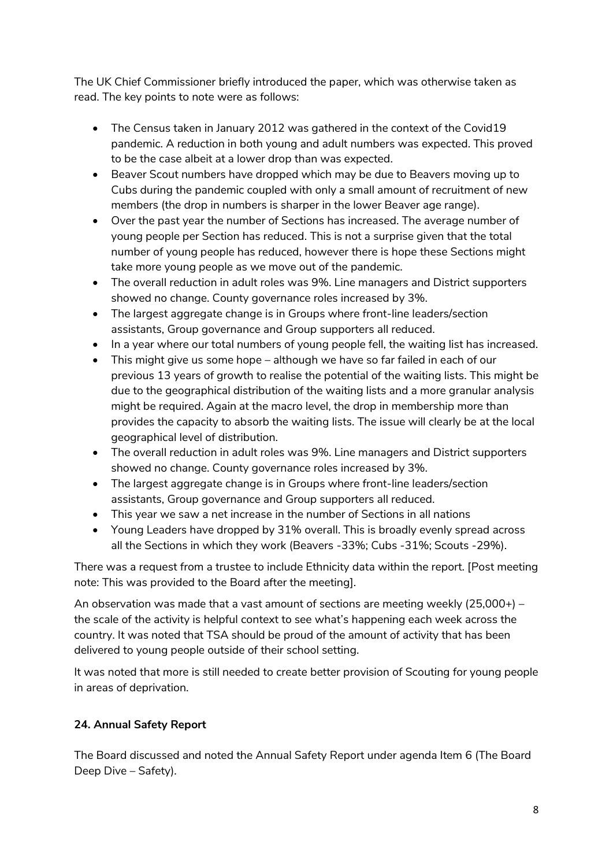The UK Chief Commissioner briefly introduced the paper, which was otherwise taken as read. The key points to note were as follows:

- The Census taken in January 2012 was gathered in the context of the Covid19 pandemic. A reduction in both young and adult numbers was expected. This proved to be the case albeit at a lower drop than was expected.
- Beaver Scout numbers have dropped which may be due to Beavers moving up to Cubs during the pandemic coupled with only a small amount of recruitment of new members (the drop in numbers is sharper in the lower Beaver age range).
- Over the past year the number of Sections has increased. The average number of young people per Section has reduced. This is not a surprise given that the total number of young people has reduced, however there is hope these Sections might take more young people as we move out of the pandemic.
- The overall reduction in adult roles was 9%. Line managers and District supporters showed no change. County governance roles increased by 3%.
- The largest aggregate change is in Groups where front-line leaders/section assistants, Group governance and Group supporters all reduced.
- In a year where our total numbers of young people fell, the waiting list has increased.
- This might give us some hope although we have so far failed in each of our previous 13 years of growth to realise the potential of the waiting lists. This might be due to the geographical distribution of the waiting lists and a more granular analysis might be required. Again at the macro level, the drop in membership more than provides the capacity to absorb the waiting lists. The issue will clearly be at the local geographical level of distribution.
- The overall reduction in adult roles was 9%. Line managers and District supporters showed no change. County governance roles increased by 3%.
- The largest aggregate change is in Groups where front-line leaders/section assistants, Group governance and Group supporters all reduced.
- This year we saw a net increase in the number of Sections in all nations
- Young Leaders have dropped by 31% overall. This is broadly evenly spread across all the Sections in which they work (Beavers -33%; Cubs -31%; Scouts -29%).

There was a request from a trustee to include Ethnicity data within the report. [Post meeting note: This was provided to the Board after the meeting].

An observation was made that a vast amount of sections are meeting weekly  $(25,000+)$  – the scale of the activity is helpful context to see what's happening each week across the country. It was noted that TSA should be proud of the amount of activity that has been delivered to young people outside of their school setting.

It was noted that more is still needed to create better provision of Scouting for young people in areas of deprivation.

# **24. Annual Safety Report**

The Board discussed and noted the Annual Safety Report under agenda Item 6 (The Board Deep Dive – Safety).